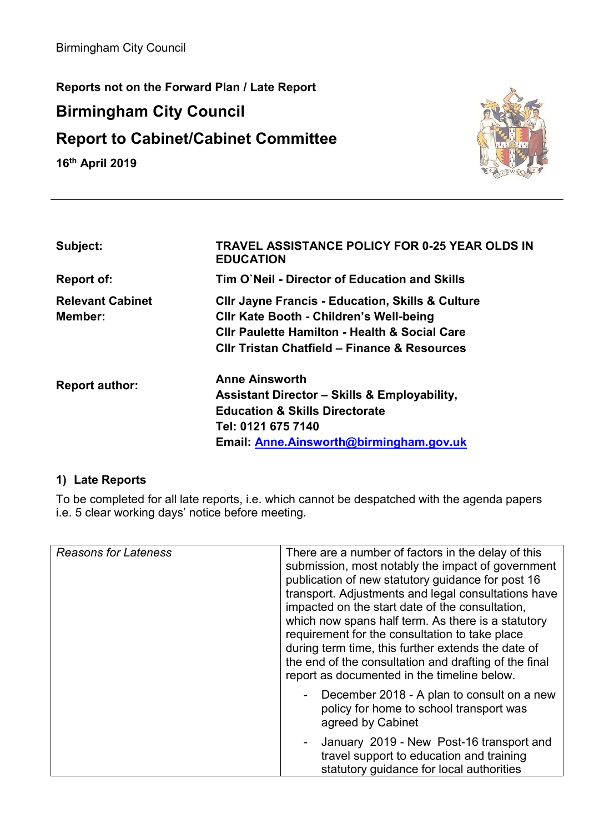**Reports not on the Forward Plan / Late Report** 

## **Birmingham City Council**

## **Report to Cabinet/Cabinet Committee**

**16th April 2019** 



| Subject:                           | <b>TRAVEL ASSISTANCE POLICY FOR 0-25 YEAR OLDS IN</b><br><b>EDUCATION</b>                                                                                                                                                            |
|------------------------------------|--------------------------------------------------------------------------------------------------------------------------------------------------------------------------------------------------------------------------------------|
| Report of:                         | Tim O'Neil - Director of Education and Skills                                                                                                                                                                                        |
| <b>Relevant Cabinet</b><br>Member: | <b>CIIr Jayne Francis - Education, Skills &amp; Culture</b><br><b>CIIr Kate Booth - Children's Well-being</b><br><b>CIIr Paulette Hamilton - Health &amp; Social Care</b><br><b>CIIr Tristan Chatfield - Finance &amp; Resources</b> |
| <b>Report author:</b>              | <b>Anne Ainsworth</b><br><b>Assistant Director - Skills &amp; Employability,</b><br><b>Education &amp; Skills Directorate</b><br>Tel: 0121 675 7140<br>Email: Anne. Ainsworth@birmingham.gov.uk                                      |

## **1) Late Reports**

To be completed for all late reports, i.e. which cannot be despatched with the agenda papers i.e. 5 clear working days' notice before meeting.

| <b>Reasons for Lateness</b> | There are a number of factors in the delay of this<br>submission, most notably the impact of government<br>publication of new statutory guidance for post 16<br>transport. Adjustments and legal consultations have<br>impacted on the start date of the consultation,<br>which now spans half term. As there is a statutory<br>requirement for the consultation to take place<br>during term time, this further extends the date of<br>the end of the consultation and drafting of the final<br>report as documented in the timeline below. |
|-----------------------------|----------------------------------------------------------------------------------------------------------------------------------------------------------------------------------------------------------------------------------------------------------------------------------------------------------------------------------------------------------------------------------------------------------------------------------------------------------------------------------------------------------------------------------------------|
|                             | December 2018 - A plan to consult on a new<br>policy for home to school transport was<br>agreed by Cabinet                                                                                                                                                                                                                                                                                                                                                                                                                                   |
|                             | - January 2019 - New Post-16 transport and<br>travel support to education and training<br>statutory guidance for local authorities                                                                                                                                                                                                                                                                                                                                                                                                           |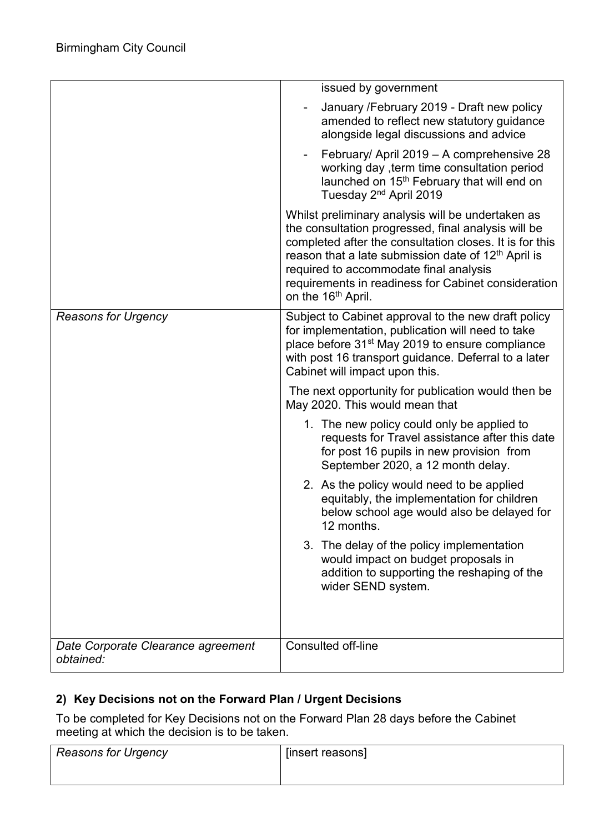|                                                 | issued by government                                                                                                                                                                                                                                                                                                                                                      |
|-------------------------------------------------|---------------------------------------------------------------------------------------------------------------------------------------------------------------------------------------------------------------------------------------------------------------------------------------------------------------------------------------------------------------------------|
|                                                 | January / February 2019 - Draft new policy<br>amended to reflect new statutory guidance<br>alongside legal discussions and advice                                                                                                                                                                                                                                         |
|                                                 | February/ April 2019 - A comprehensive 28<br>working day, term time consultation period<br>launched on 15 <sup>th</sup> February that will end on<br>Tuesday 2 <sup>nd</sup> April 2019                                                                                                                                                                                   |
|                                                 | Whilst preliminary analysis will be undertaken as<br>the consultation progressed, final analysis will be<br>completed after the consultation closes. It is for this<br>reason that a late submission date of 12 <sup>th</sup> April is<br>required to accommodate final analysis<br>requirements in readiness for Cabinet consideration<br>on the 16 <sup>th</sup> April. |
| <b>Reasons for Urgency</b>                      | Subject to Cabinet approval to the new draft policy<br>for implementation, publication will need to take<br>place before 31 <sup>st</sup> May 2019 to ensure compliance<br>with post 16 transport guidance. Deferral to a later<br>Cabinet will impact upon this.                                                                                                         |
|                                                 | The next opportunity for publication would then be<br>May 2020. This would mean that                                                                                                                                                                                                                                                                                      |
|                                                 | 1. The new policy could only be applied to<br>requests for Travel assistance after this date<br>for post 16 pupils in new provision from<br>September 2020, a 12 month delay.                                                                                                                                                                                             |
|                                                 | 2. As the policy would need to be applied<br>equitably, the implementation for children<br>below school age would also be delayed for<br>12 months.                                                                                                                                                                                                                       |
|                                                 | 3. The delay of the policy implementation<br>would impact on budget proposals in<br>addition to supporting the reshaping of the<br>wider SEND system.                                                                                                                                                                                                                     |
| Date Corporate Clearance agreement<br>obtained: | Consulted off-line                                                                                                                                                                                                                                                                                                                                                        |

## **2) Key Decisions not on the Forward Plan / Urgent Decisions**

To be completed for Key Decisions not on the Forward Plan 28 days before the Cabinet meeting at which the decision is to be taken.

| <b>Reasons for Urgency</b> | [insert reasons] |
|----------------------------|------------------|
|                            |                  |